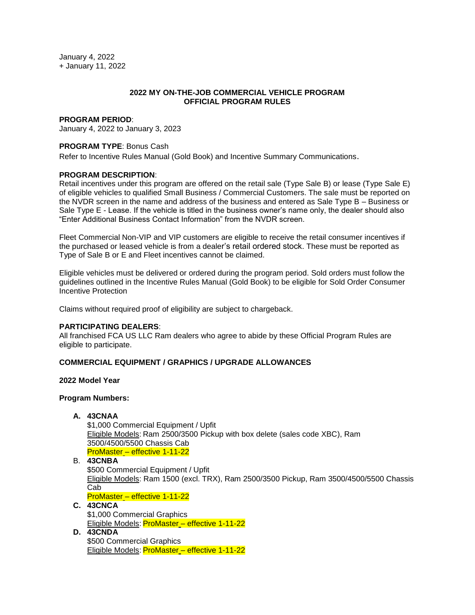January 4, 2022 + January 11, 2022

## **2022 MY ON-THE-JOB COMMERCIAL VEHICLE PROGRAM OFFICIAL PROGRAM RULES**

### **PROGRAM PERIOD**:

January 4, 2022 to January 3, 2023

# **PROGRAM TYPE**: Bonus Cash

Refer to Incentive Rules Manual (Gold Book) and Incentive Summary Communications.

## **PROGRAM DESCRIPTION**:

Retail incentives under this program are offered on the retail sale (Type Sale B) or lease (Type Sale E) of eligible vehicles to qualified Small Business / Commercial Customers. The sale must be reported on the NVDR screen in the name and address of the business and entered as Sale Type B – Business or Sale Type E - Lease. If the vehicle is titled in the business owner's name only, the dealer should also "Enter Additional Business Contact Information" from the NVDR screen.

Fleet Commercial Non-VIP and VIP customers are eligible to receive the retail consumer incentives if the purchased or leased vehicle is from a dealer's retail ordered stock. These must be reported as Type of Sale B or E and Fleet incentives cannot be claimed.

Eligible vehicles must be delivered or ordered during the program period. Sold orders must follow the guidelines outlined in the Incentive Rules Manual (Gold Book) to be eligible for Sold Order Consumer Incentive Protection

Claims without required proof of eligibility are subject to chargeback.

### **PARTICIPATING DEALERS**:

All franchised FCA US LLC Ram dealers who agree to abide by these Official Program Rules are eligible to participate.

#### **COMMERCIAL EQUIPMENT / GRAPHICS / UPGRADE ALLOWANCES**

## **2022 Model Year**

#### **Program Numbers:**

## **A. 43CNAA**

\$1,000 Commercial Equipment / Upfit Eligible Models: Ram 2500/3500 Pickup with box delete (sales code XBC), Ram 3500/4500/5500 Chassis Cab ProMaster – effective 1-11-22

# B. **43CNBA**

\$500 Commercial Equipment / Upfit Eligible Models: Ram 1500 (excl. TRX), Ram 2500/3500 Pickup, Ram 3500/4500/5500 Chassis Cab ProMaster – effective 1-11-22

**C. 43CNCA** \$1,000 Commercial Graphics Eligible Models: ProMaster – effective 1-11-22

# **D. 43CNDA**

\$500 Commercial Graphics Eligible Models: ProMaster – effective 1-11-22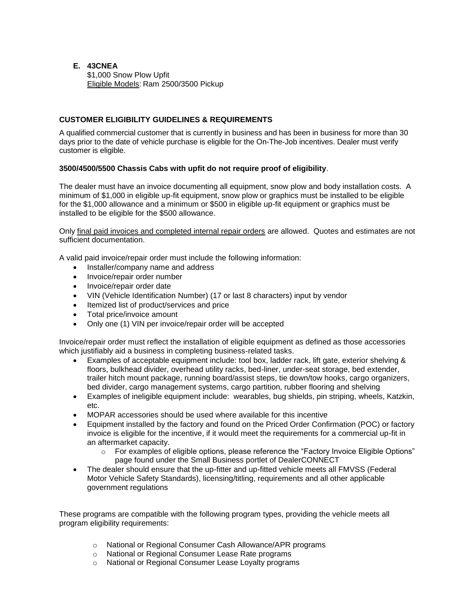## **E. 43CNEA** \$1,000 Snow Plow Upfit Eligible Models: Ram 2500/3500 Pickup

# **CUSTOMER ELIGIBILITY GUIDELINES & REQUIREMENTS**

A qualified commercial customer that is currently in business and has been in business for more than 30 days prior to the date of vehicle purchase is eligible for the On-The-Job incentives. Dealer must verify customer is eligible.

# **3500/4500/5500 Chassis Cabs with upfit do not require proof of eligibility**.

The dealer must have an invoice documenting all equipment, snow plow and body installation costs. A minimum of \$1,000 in eligible up-fit equipment, snow plow or graphics must be installed to be eligible for the \$1,000 allowance and a minimum or \$500 in eligible up-fit equipment or graphics must be installed to be eligible for the \$500 allowance.

Only final paid invoices and completed internal repair orders are allowed. Quotes and estimates are not sufficient documentation.

A valid paid invoice/repair order must include the following information:

- Installer/company name and address
- Invoice/repair order number
- Invoice/repair order date
- VIN (Vehicle Identification Number) (17 or last 8 characters) input by vendor
- Itemized list of product/services and price
- Total price/invoice amount
- Only one (1) VIN per invoice/repair order will be accepted

Invoice/repair order must reflect the installation of eligible equipment as defined as those accessories which justifiably aid a business in completing business-related tasks.

- Examples of acceptable equipment include: tool box, ladder rack, lift gate, exterior shelving & floors, bulkhead divider, overhead utility racks, bed-liner, under-seat storage, bed extender, trailer hitch mount package, running board/assist steps, tie down/tow hooks, cargo organizers, bed divider, cargo management systems, cargo partition, rubber flooring and shelving
- Examples of ineligible equipment include: wearables, bug shields, pin striping, wheels, Katzkin, etc.
- MOPAR accessories should be used where available for this incentive
- Equipment installed by the factory and found on the Priced Order Confirmation (POC) or factory invoice is eligible for the incentive, if it would meet the requirements for a commercial up-fit in an aftermarket capacity.
	- o For examples of eligible options, please reference the "Factory Invoice Eligible Options" page found under the Small Business portlet of DealerCONNECT
- The dealer should ensure that the up-fitter and up-fitted vehicle meets all FMVSS (Federal Motor Vehicle Safety Standards), licensing/titling, requirements and all other applicable government regulations

These programs are compatible with the following program types, providing the vehicle meets all program eligibility requirements:

- o National or Regional Consumer Cash Allowance/APR programs
- o National or Regional Consumer Lease Rate programs
- o National or Regional Consumer Lease Loyalty programs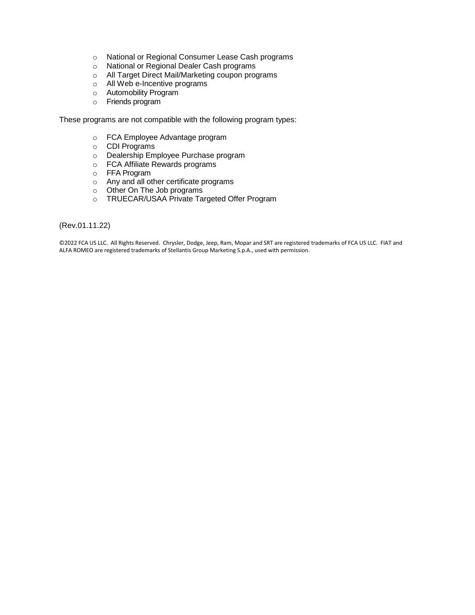- o National or Regional Consumer Lease Cash programs
- o National or Regional Dealer Cash programs
- o All Target Direct Mail/Marketing coupon programs
- o All Web e-Incentive programs
- o Automobility Program
- o Friends program

These programs are not compatible with the following program types:

- o FCA Employee Advantage program
- o CDI Programs
- o Dealership Employee Purchase program
- o FCA Affiliate Rewards programs
- o FFA Program
- o Any and all other certificate programs
- o Other On The Job programs
- o TRUECAR/USAA Private Targeted Offer Program

(Rev.01.11.22)

©2022 FCA US LLC. All Rights Reserved. Chrysler, Dodge, Jeep, Ram, Mopar and SRT are registered trademarks of FCA US LLC. FIAT and ALFA ROMEO are registered trademarks of Stellantis Group Marketing S.p.A., used with permission.